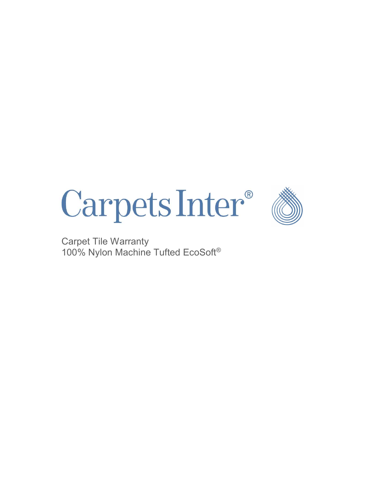## Carpets Inter®



Carpet Tile Warranty 100% Nylon Machine Tufted EcoSoft®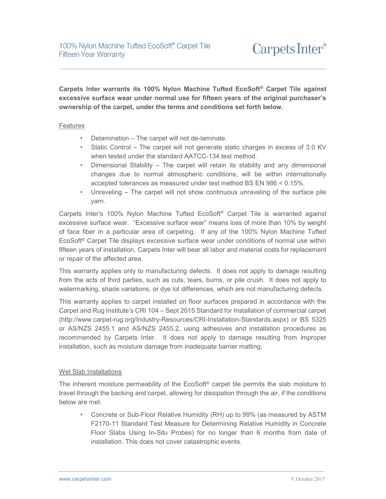Carpets Inter warrants its 100% Nylon Machine Tufted EcoSoft® Carpet Tile against excessive surface wear under normal use for fifteen years of the original purchaser's ownership of the carpet, under the terms and conditions set forth below.

## Features

- Delamination The carpet will not de-laminate.
- Static Control The carpet will not generate static charges in excess of 3.0 KV when tested under the standard AATCC-134 test method.
- Dimensional Stability The carpet will retain its stability and any dimensional changes due to normal atmospheric conditions, will be within internationally accepted tolerances as measured under test method BS EN 986 < 0.15%.
- Unraveling The carpet will not show continuous unraveling of the surface pile yarn.

Carpets Inter's 100% Nylon Machine Tufted EcoSoft® Carpet Tile is warranted against excessive surface wear. "Excessive surface wear" means loss of more than 10% by weight of face fiber in a particular area of carpeting. If any of the 100% Nylon Machine Tufted EcoSoft® Carpet Tile displays excessive surface wear under conditions of normal use within fifteen years of installation, Carpets Inter will bear all labor and material costs for replacement or repair of the affected area.

This warranty applies only to manufacturing defects. It does not apply to damage resulting from the acts of third parties, such as cuts, tears, burns, or pile crush. It does not apply to watermarking, shade variations, or dye lot differences, which are not manufacturing defects.

This warranty applies to carpet installed on floor surfaces prepared in accordance with the Carpet and Rug Institute's CRI 104 – Sept 2015 Standard for Installation of commercial carpet (http://www.carpet-rug.org/Industry-Resources/CRI-Installation-Standards.aspx) or BS 5325 or AS/NZS 2455.1 and AS/NZS 2455.2, using adhesives and installation procedures as recommended by Carpets Inter. It does not apply to damage resulting from improper installation, such as moisture damage from inadequate barrier matting.

## Wet Slab Installations

The inherent moisture permeability of the EcoSoft® carpet tile permits the slab moisture to travel through the backing and carpet, allowing for dissipation through the air, if the conditions below are met.

• Concrete or Sub-Floor Relative Humidity (RH) up to 99% (as measured by ASTM F2170-11 Standard Test Measure for Determining Relative Humidity in Concrete Floor Slabs Using In-Situ Probes) for no longer than 6 months from date of installation. This does not cover catastrophic events.